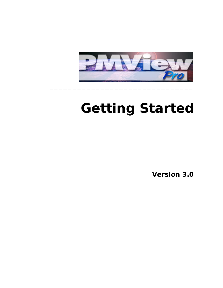

**\_\_\_\_\_\_\_\_\_\_\_\_\_\_\_\_\_\_\_\_\_\_\_\_\_\_\_\_\_\_\_**

# **Getting Started**

**Version 3.0**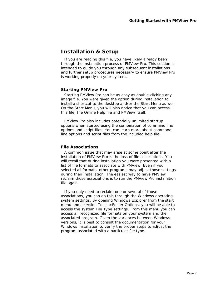## **Installation & Setup**

If you are reading this file, you have likely already been through the installation process of PMView Pro. This section is intended to guide you through any subsequent installations and further setup procedures necessary to ensure PMView Pro is working properly on your system.

#### **Starting PMView Pro**

Starting PMView Pro can be as easy as double-clicking any image file. You were given the option during installation to install a shortcut to the desktop and/or the Start Menu as well. On the Start Menu, you will also notice that you can access this file, the Online Help file and PMView itself.

PMView Pro also includes potentially unlimited startup options when started using the combination of command line options and script files. You can learn more about command line options and script files from the included help file.

#### **File Associations**

A common issue that may arise at some point after the installation of PMView Pro is the loss of file associations. You will recall that during installation you were presented with a list of file formats to associate with PMView. Even if you selected all formats, other programs may adjust those settings during their installation. The easiest way to have PMView reclaim those associations is to run the PMView Pro installation file again.

If you only need to reclaim one or several of those associations, you can do this through the Windows operating system settings. By opening Windows Explorer from the start menu and selection Tools->Folder Options, you will be able to access the system File Type settings. From this menu you can access all recognized file formats on your system and the associated program. Given the variances between Windows versions, it is best to consult the documentation for your Windows installation to verify the proper steps to adjust the program associated with a particular file type.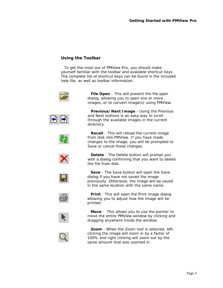### **Using the Toolbar**

To get the most out of PMView Pro, you should make yourself familiar with the toolbar and available shortcut keys. The complete list of shortcut keys can be found in the included help file, as well as toolbar information.



images, or to convert image(s) using PMView. **Previous/Next Image** - Using the Previous

and Next buttons is an easy way to scroll through the available images in the current directory.

**File Open** - This will present the file open dialog, allowing you to open one or more

**Recall** - This will reload the current image from disk into PMView. If you have made changes to the image, you will be prompted to Save or cancel those changes.

**Delete** - The Delete button will prompt you with a dialog confirming that you want to delete the file from disk.



**Save** - The Save button will open the Save dialog if you have not saved the image previously. Otherwise, the image will be saved in the same location with the same name.



**Print** - This will open the Print image dialog allowing you to adjust how the image will be printed.



**Move** - This allows you to use the pointer to move the entire PMView window by clicking and dragging anywhere inside the window.



**Zoom** - When the Zoom tool is selected, leftclicking the image will zoom in by a factor of 100% and right clicking will zoom out by the same amount that was zoomed in.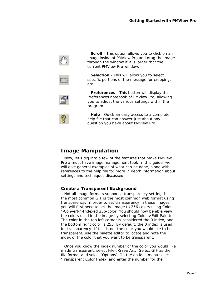

**Scroll** - This option allows you to click on an image inside of PMView Pro and drag the image through the window if it is larger that the current PMView Pro window.



**Selection** - This will allow you to select specific portions of the message for cropping, etc.



**Preferences** - This button will display the Preferences notebook of PMView Pro, allowing you to adjust the various settings within the program.

**Help** - Quick an easy access to a complete help file that can answer just about any question you have about PMView Pro.

## **Image Manipulation**

Now, let's dig into a few of the features that make PMView Pro a must have image management tool. In this guide, we will give general examples of what can be done, along with references to the help file for more in depth information about settings and techniques discussed.

#### **Create a Transparent Background**

Not all image formats support a transparency setting, but the most common GIF is the most common web format using transparency. In order to set transparency in these images, you will first need to set the image to 256 colors using Color- >Convert->Indexed 256-color. You should now be able view the colors used in the image by selecting Color->Edit Palette. The color in the top left corner is considered the 0 index, and the bottom right color is 255. By default, the 0 index is used for transparency. If this is not the color you would like to be transparent, use the palette editor to locate and note the index of the color that you want to be transparent.

Once you know the index number of the color you would like made transparent, select File->Save As... Select GIF as the file format and select 'Options'. On the options menu select 'Transparent Color Index' and enter the number for the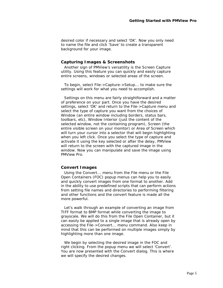desired color if necessary and select 'OK'. Now you only need to name the file and click 'Save' to create a transparent background for your image.

#### **Capturing Images & Screenshots**

Another sign of PMView's versatility is the Screen Capture utility. Using this feature you can quickly and easily capture entire screens, windows or selected areas of the screen.

To begin, select File->Capture->Setup... to make sure the settings will work for what you need to accomplish.

Settings on this menu are fairly straightforward and a matter of preference on your part. Once you have the desired settings, select 'OK' and return to the File->Capture menu and select the type of capture you want from the choices of Window (an entire window including borders, status bars, toolbars, etc), Window Interior (just the content of the selected window, not the containing program), Screen (the entire visible screen on your monitor) or Area of Screen which will turn your cursor into a selector that will begin highlighting when you left click. Once you select the type of capture and activate it using the key selected or after the delay, PMView will return to the screen with the captured image in the window. Now you can manipulate and save the image using PMView Pro.

#### **Convert Images**

Using the Convert... menu from the File menu or the File Open Containers (FOC) popup menus can help you to easily and quickly convert images from one format to another. Add in the ability to use predefined scripts that can perform actions from setting file names and directories to performing filtering and other functions and the convert feature is made all the more powerful.

Let's walk through an example of converting an image from TIFF format to BMP format while converting the image to grayscale. We will do this from the File Open Container, but it can easily be applied to a single image that is already open by accessing the File->Convert... menu command. Also keep in mind that this can be performed on multiple images simply by highlighting more than one image.

We begin by selecting the desired image in the FOC and right clicking. From the popup menu we will select 'Convert'. You are now presented with the Convert dialog. This is where we will specify the desired changes.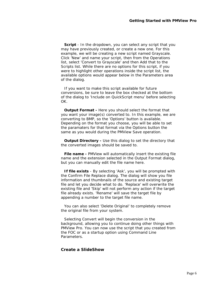**Script** - In the dropdown, you can select any script that you may have previously created, or create a new one. For this example, we will be creating a new script named Grayscale. Click 'New' and name your script, then from the Operations list, select 'Convert to Grayscale' and then Add that to the Scripts list. While there are no options for this script, if you were to highlight other operations inside the script list, the available options would appear below in the Parameters area of the dialog.

If you want to make this script available for future conversions, be sure to leave the box checked at the bottom of the dialog to 'Include on QuickScript menu' before selecting OK.

**Output Format -** Here you should select the format that you want your image(s) converted to. In this example, we are converting to BMP, so the 'Options' button is available. Depending on the format you choose, you will be able to set the paramaters for that format via the Options button the same as you would during the PMView Save operation.

**Output Directory -** Use this dialog to set the directory that the converted images should be saved to.

**File name -** PMView will automatically insert the existing file name and the extension selected in the Output Format dialog, but you can manually edit the file name here.

**If file exists** - By selecting 'Ask', you will be prompted with the Confirm File Replace dialog. The dialog will show you file information and thumbnails of the source and existing target file and let you decide what to do. 'Replace' will overwrite the existing file and 'Skip' will not perform any action if the target file already exists. 'Rename' will save the target file by appending a number to the target file name.

You can also select 'Delete Original' to completely remove the original file from your system.

Selecting Convert will begin the conversion in the background, allowing you to continue doing other things with PMView Pro. You can now use the script that you created from the FOC or as a startup option using Command Line Parameters.

#### **Create a SlideShow**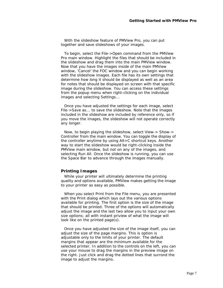With the slideshow feature of PMView Pro, you can put together and save slideshows of your images.

To begin, select the File->Open command from the PMView Pro main window. Highlight the files that should be included in the slideshow and drag them into the main PMView window. Now that you have the images inside of the main PMView window, 'Cancel' the FOC window and you can begin working with the slideshow images. Each file has its own settings that determine how long it should be displayed as well as an area for notes that should be displayed on screen with that specific image during the slideshow. You can access these settings from the popup menu when right-clicking on the individual images and selecting Settings...

Once you have adjusted the settings for each image, select File->Save as... to save the slideshow. Note that the images included in the slideshow are included by reference only, so if you move the images, the slideshow will not operate correctly any longer.

Now, to begin playing the slideshow, select View-> Show-> Controller from the main window. You can toggle the display of the controller anytime by using Alt+C shortcut keys. Another way to start the slideshow would be right-clicking inside the PMView main window, but not on any of the images, and selecting Run All. Once the slideshow is running, you can use the Space Bar to advance through the images manually.

#### **Printing Images**

While your printer will ultimately determine the printing quality and options available, PMView makes getting the image to your printer as easy as possible.

When you select Print from the File menu, you are presented with the Print dialog which lays out the various options available for printing. The first option is the size of the image that should be printed. Three of the options will automatically adjust the image and the last two allow you to input your own size options; all with instant priview of what the image will look like on the printed page(s).

Once you have adjusted the size of the image itself, you can adjust the size of the page margins. This is option is adjustable only to the limits of your printer. The default margins that appear are the minimum available for the selected printer. In addition to the controls on the left, you can use your mouse to drag the margins in the preview image on the right. Just click and drag the dotted lines that surrond the image to adjust the margins.